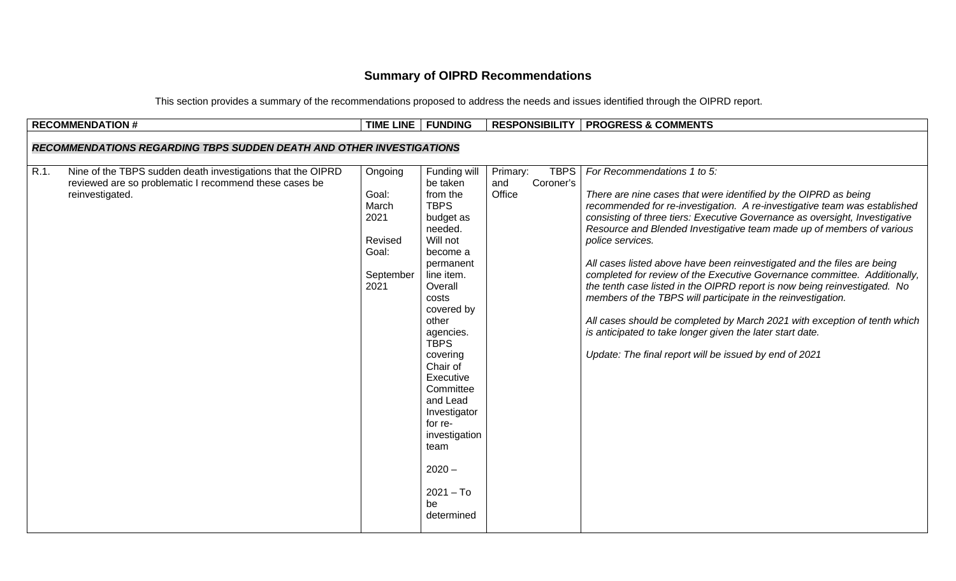## **Summary of OIPRD Recommendations**

This section provides a summary of the recommendations proposed to address the needs and issues identified through the OIPRD report.

|                                                                             | <b>RECOMMENDATION #</b>                                                                                                                  | TIME LINE   FUNDING                                                        |                                                                                                                                                                                                                                                                                                                                                                        |                                                       | <b>RESPONSIBILITY   PROGRESS &amp; COMMENTS</b>                                                                                                                                                                                                                                                                                                                                                                                                                                                                                                                                                                                                                                                                                                                                                                                                                  |  |  |  |
|-----------------------------------------------------------------------------|------------------------------------------------------------------------------------------------------------------------------------------|----------------------------------------------------------------------------|------------------------------------------------------------------------------------------------------------------------------------------------------------------------------------------------------------------------------------------------------------------------------------------------------------------------------------------------------------------------|-------------------------------------------------------|------------------------------------------------------------------------------------------------------------------------------------------------------------------------------------------------------------------------------------------------------------------------------------------------------------------------------------------------------------------------------------------------------------------------------------------------------------------------------------------------------------------------------------------------------------------------------------------------------------------------------------------------------------------------------------------------------------------------------------------------------------------------------------------------------------------------------------------------------------------|--|--|--|
| <b>RECOMMENDATIONS REGARDING TBPS SUDDEN DEATH AND OTHER INVESTIGATIONS</b> |                                                                                                                                          |                                                                            |                                                                                                                                                                                                                                                                                                                                                                        |                                                       |                                                                                                                                                                                                                                                                                                                                                                                                                                                                                                                                                                                                                                                                                                                                                                                                                                                                  |  |  |  |
| R.1.                                                                        | Nine of the TBPS sudden death investigations that the OIPRD<br>reviewed are so problematic I recommend these cases be<br>reinvestigated. | Ongoing<br>Goal:<br>March<br>2021<br>Revised<br>Goal:<br>September<br>2021 | Funding will<br>be taken<br>from the<br><b>TBPS</b><br>budget as<br>needed.<br>Will not<br>become a<br>permanent<br>line item.<br>Overall<br>costs<br>covered by<br>other<br>agencies.<br><b>TBPS</b><br>covering<br>Chair of<br>Executive<br>Committee<br>and Lead<br>Investigator<br>for re-<br>investigation<br>team<br>$2020 -$<br>$2021 - To$<br>be<br>determined | <b>TBPS</b><br>Primary:<br>Coroner's<br>and<br>Office | For Recommendations 1 to 5:<br>There are nine cases that were identified by the OIPRD as being<br>recommended for re-investigation. A re-investigative team was established<br>consisting of three tiers: Executive Governance as oversight, Investigative<br>Resource and Blended Investigative team made up of members of various<br>police services.<br>All cases listed above have been reinvestigated and the files are being<br>completed for review of the Executive Governance committee. Additionally,<br>the tenth case listed in the OIPRD report is now being reinvestigated. No<br>members of the TBPS will participate in the reinvestigation.<br>All cases should be completed by March 2021 with exception of tenth which<br>is anticipated to take longer given the later start date.<br>Update: The final report will be issued by end of 2021 |  |  |  |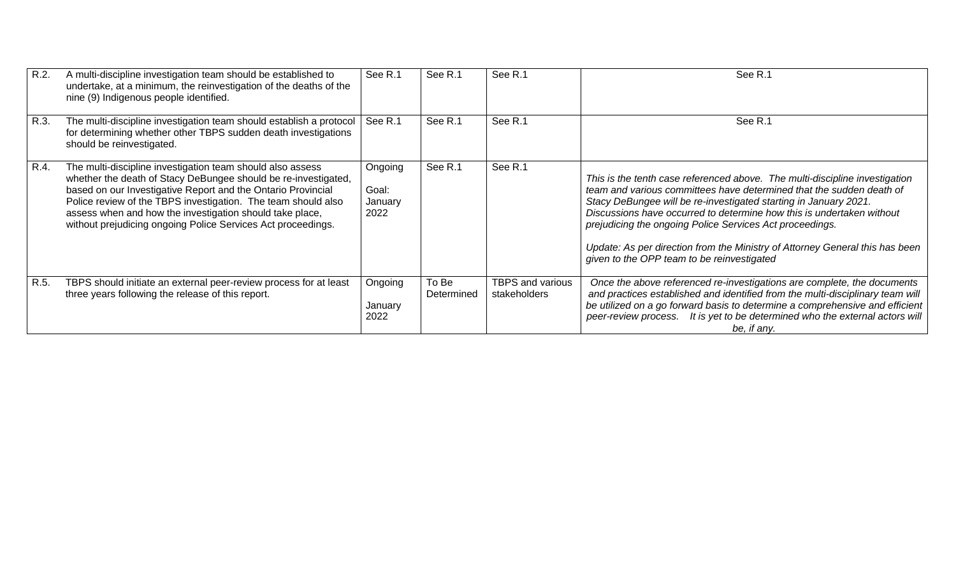| R.2. | A multi-discipline investigation team should be established to<br>undertake, at a minimum, the reinvestigation of the deaths of the<br>nine (9) Indigenous people identified.                                                                                                                                                                                                             | See R.1                             | See R.1             | See R.1                                 | See R.1                                                                                                                                                                                                                                                                                                                                                                                                                                                                                    |
|------|-------------------------------------------------------------------------------------------------------------------------------------------------------------------------------------------------------------------------------------------------------------------------------------------------------------------------------------------------------------------------------------------|-------------------------------------|---------------------|-----------------------------------------|--------------------------------------------------------------------------------------------------------------------------------------------------------------------------------------------------------------------------------------------------------------------------------------------------------------------------------------------------------------------------------------------------------------------------------------------------------------------------------------------|
| R.3. | The multi-discipline investigation team should establish a protocol<br>for determining whether other TBPS sudden death investigations<br>should be reinvestigated.                                                                                                                                                                                                                        | See R.1                             | See R.1             | See R.1                                 | See R.1                                                                                                                                                                                                                                                                                                                                                                                                                                                                                    |
| R.4. | The multi-discipline investigation team should also assess<br>whether the death of Stacy DeBungee should be re-investigated,<br>based on our Investigative Report and the Ontario Provincial<br>Police review of the TBPS investigation. The team should also<br>assess when and how the investigation should take place,<br>without prejudicing ongoing Police Services Act proceedings. | Ongoing<br>Goal:<br>January<br>2022 | See R.1             | See R.1                                 | This is the tenth case referenced above. The multi-discipline investigation<br>team and various committees have determined that the sudden death of<br>Stacy DeBungee will be re-investigated starting in January 2021.<br>Discussions have occurred to determine how this is undertaken without<br>prejudicing the ongoing Police Services Act proceedings.<br>Update: As per direction from the Ministry of Attorney General this has been<br>given to the OPP team to be reinvestigated |
| R.5. | TBPS should initiate an external peer-review process for at least<br>three years following the release of this report.                                                                                                                                                                                                                                                                    | Ongoing<br>January<br>2022          | To Be<br>Determined | <b>TBPS and various</b><br>stakeholders | Once the above referenced re-investigations are complete, the documents<br>and practices established and identified from the multi-disciplinary team will<br>be utilized on a go forward basis to determine a comprehensive and efficient<br>peer-review process. It is yet to be determined who the external actors will<br>be, if any.                                                                                                                                                   |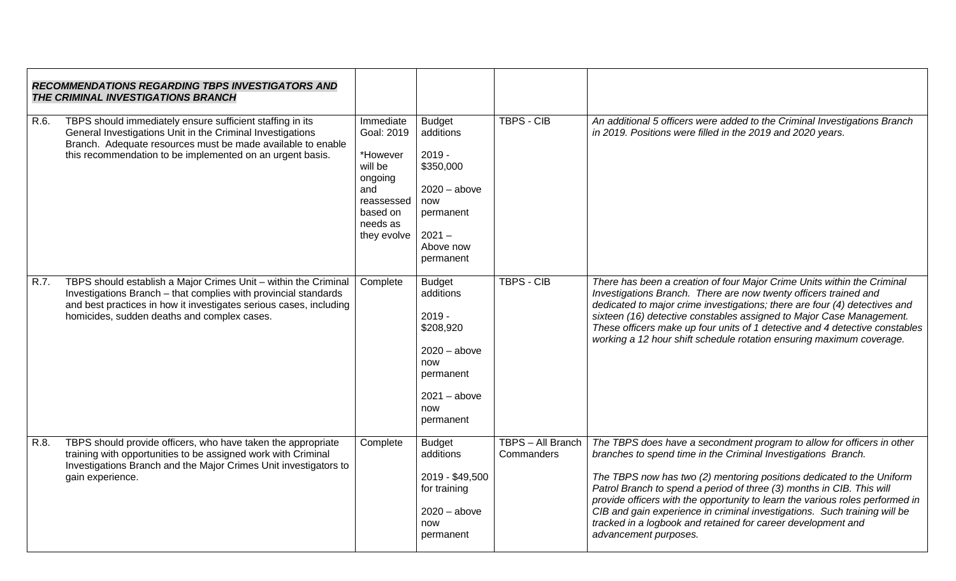| <b>RECOMMENDATIONS REGARDING TBPS INVESTIGATORS AND</b><br>THE CRIMINAL INVESTIGATIONS BRANCH |                                                                                                                                                                                                                                                         |                                                                                                                       |                                                                                                                                 |                                 |                                                                                                                                                                                                                                                                                                                                                                                                                                                                                                                                                  |
|-----------------------------------------------------------------------------------------------|---------------------------------------------------------------------------------------------------------------------------------------------------------------------------------------------------------------------------------------------------------|-----------------------------------------------------------------------------------------------------------------------|---------------------------------------------------------------------------------------------------------------------------------|---------------------------------|--------------------------------------------------------------------------------------------------------------------------------------------------------------------------------------------------------------------------------------------------------------------------------------------------------------------------------------------------------------------------------------------------------------------------------------------------------------------------------------------------------------------------------------------------|
| R.6.                                                                                          | TBPS should immediately ensure sufficient staffing in its<br>General Investigations Unit in the Criminal Investigations<br>Branch. Adequate resources must be made available to enable<br>this recommendation to be implemented on an urgent basis.     | Immediate<br>Goal: 2019<br>*However<br>will be<br>ongoing<br>and<br>reassessed<br>based on<br>needs as<br>they evolve | <b>Budget</b><br>additions<br>$2019 -$<br>\$350,000<br>$2020 - above$<br>now<br>permanent<br>$2021 -$<br>Above now<br>permanent | <b>TBPS - CIB</b>               | An additional 5 officers were added to the Criminal Investigations Branch<br>in 2019. Positions were filled in the 2019 and 2020 years.                                                                                                                                                                                                                                                                                                                                                                                                          |
| R.7.                                                                                          | TBPS should establish a Major Crimes Unit - within the Criminal<br>Investigations Branch - that complies with provincial standards<br>and best practices in how it investigates serious cases, including<br>homicides, sudden deaths and complex cases. | Complete                                                                                                              | <b>Budget</b><br>additions<br>$2019 -$<br>\$208,920<br>$2020 - above$<br>now<br>permanent<br>$2021 - above$<br>now<br>permanent | <b>TBPS - CIB</b>               | There has been a creation of four Major Crime Units within the Criminal<br>Investigations Branch. There are now twenty officers trained and<br>dedicated to major crime investigations; there are four (4) detectives and<br>sixteen (16) detective constables assigned to Major Case Management.<br>These officers make up four units of 1 detective and 4 detective constables<br>working a 12 hour shift schedule rotation ensuring maximum coverage.                                                                                         |
| R.8.                                                                                          | TBPS should provide officers, who have taken the appropriate<br>training with opportunities to be assigned work with Criminal<br>Investigations Branch and the Major Crimes Unit investigators to<br>gain experience.                                   | Complete                                                                                                              | <b>Budget</b><br>additions<br>2019 - \$49,500<br>for training<br>$2020 - above$<br>now<br>permanent                             | TBPS - All Branch<br>Commanders | The TBPS does have a secondment program to allow for officers in other<br>branches to spend time in the Criminal Investigations Branch.<br>The TBPS now has two (2) mentoring positions dedicated to the Uniform<br>Patrol Branch to spend a period of three (3) months in CIB. This will<br>provide officers with the opportunity to learn the various roles performed in<br>CIB and gain experience in criminal investigations. Such training will be<br>tracked in a logbook and retained for career development and<br>advancement purposes. |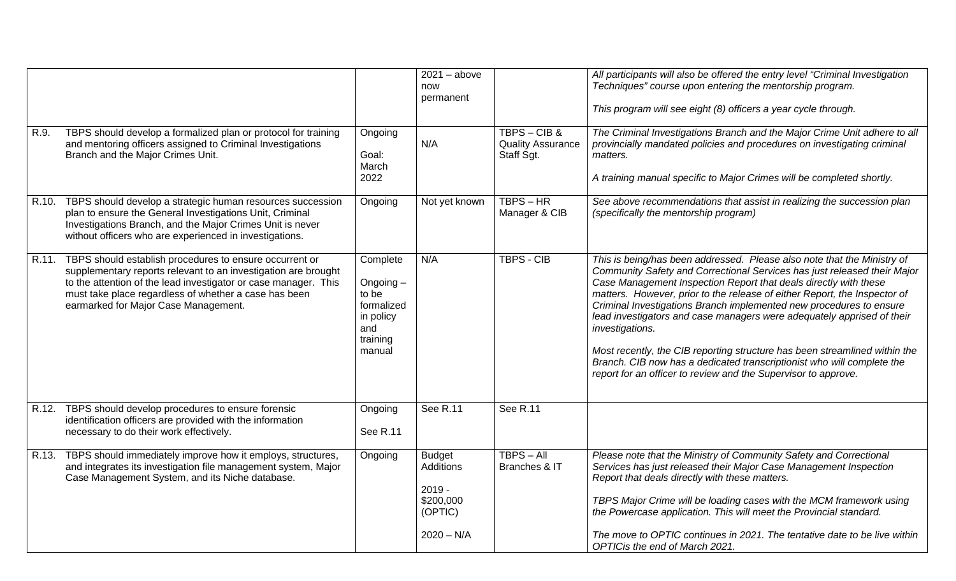|       |                                                                                                                                                                                                                                                                                               |                                                                                          | $2021 - above$<br>now<br>permanent                                                    |                                                     | All participants will also be offered the entry level "Criminal Investigation<br>Techniques" course upon entering the mentorship program.<br>This program will see eight (8) officers a year cycle through.                                                                                                                                                                                                                                                                                                                                                                                                                                                                                        |
|-------|-----------------------------------------------------------------------------------------------------------------------------------------------------------------------------------------------------------------------------------------------------------------------------------------------|------------------------------------------------------------------------------------------|---------------------------------------------------------------------------------------|-----------------------------------------------------|----------------------------------------------------------------------------------------------------------------------------------------------------------------------------------------------------------------------------------------------------------------------------------------------------------------------------------------------------------------------------------------------------------------------------------------------------------------------------------------------------------------------------------------------------------------------------------------------------------------------------------------------------------------------------------------------------|
| R.9.  | TBPS should develop a formalized plan or protocol for training<br>and mentoring officers assigned to Criminal Investigations<br>Branch and the Major Crimes Unit.                                                                                                                             | Ongoing<br>Goal:<br>March<br>2022                                                        | N/A                                                                                   | TBPS-CIB&<br><b>Quality Assurance</b><br>Staff Sgt. | The Criminal Investigations Branch and the Major Crime Unit adhere to all<br>provincially mandated policies and procedures on investigating criminal<br>matters.<br>A training manual specific to Major Crimes will be completed shortly.                                                                                                                                                                                                                                                                                                                                                                                                                                                          |
| R.10. | TBPS should develop a strategic human resources succession<br>plan to ensure the General Investigations Unit, Criminal<br>Investigations Branch, and the Major Crimes Unit is never<br>without officers who are experienced in investigations.                                                | Ongoing                                                                                  | Not yet known                                                                         | $TBPS - HR$<br>Manager & CIB                        | See above recommendations that assist in realizing the succession plan<br>(specifically the mentorship program)                                                                                                                                                                                                                                                                                                                                                                                                                                                                                                                                                                                    |
| R.11. | TBPS should establish procedures to ensure occurrent or<br>supplementary reports relevant to an investigation are brought<br>to the attention of the lead investigator or case manager. This<br>must take place regardless of whether a case has been<br>earmarked for Major Case Management. | Complete<br>Ongoing $-$<br>to be<br>formalized<br>in policy<br>and<br>training<br>manual | N/A                                                                                   | <b>TBPS - CIB</b>                                   | This is being/has been addressed. Please also note that the Ministry of<br>Community Safety and Correctional Services has just released their Major<br>Case Management Inspection Report that deals directly with these<br>matters. However, prior to the release of either Report, the Inspector of<br>Criminal Investigations Branch implemented new procedures to ensure<br>lead investigators and case managers were adequately apprised of their<br>investigations.<br>Most recently, the CIB reporting structure has been streamlined within the<br>Branch. CIB now has a dedicated transcriptionist who will complete the<br>report for an officer to review and the Supervisor to approve. |
| R.12. | TBPS should develop procedures to ensure forensic<br>identification officers are provided with the information<br>necessary to do their work effectively.                                                                                                                                     | Ongoing<br>See R.11                                                                      | See R.11                                                                              | <b>See R.11</b>                                     |                                                                                                                                                                                                                                                                                                                                                                                                                                                                                                                                                                                                                                                                                                    |
|       | R.13. TBPS should immediately improve how it employs, structures,<br>and integrates its investigation file management system, Major<br>Case Management System, and its Niche database.                                                                                                        | Ongoing                                                                                  | <b>Budget</b><br><b>Additions</b><br>$2019 -$<br>\$200,000<br>(OPTIC)<br>$2020 - N/A$ | $TBPS - All$<br>Branches & IT                       | Please note that the Ministry of Community Safety and Correctional<br>Services has just released their Major Case Management Inspection<br>Report that deals directly with these matters.<br>TBPS Major Crime will be loading cases with the MCM framework using<br>the Powercase application. This will meet the Provincial standard.<br>The move to OPTIC continues in 2021. The tentative date to be live within<br>OPTICis the end of March 2021.                                                                                                                                                                                                                                              |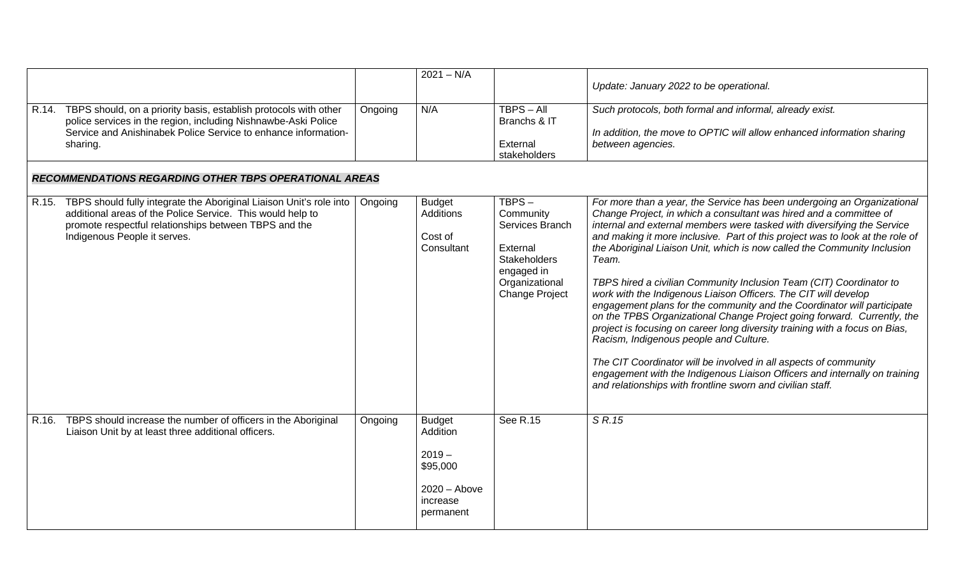|                                                                                                                                                                                                                                  |         | $2021 - N/A$                                                                                 |                                                                                                                                   | Update: January 2022 to be operational.                                                                                                                                                                                                                                                                                                                                                                                                                                                                                                                                                                                                                                                                                                                                                                                                                                                                                                                                                                                                 |
|----------------------------------------------------------------------------------------------------------------------------------------------------------------------------------------------------------------------------------|---------|----------------------------------------------------------------------------------------------|-----------------------------------------------------------------------------------------------------------------------------------|-----------------------------------------------------------------------------------------------------------------------------------------------------------------------------------------------------------------------------------------------------------------------------------------------------------------------------------------------------------------------------------------------------------------------------------------------------------------------------------------------------------------------------------------------------------------------------------------------------------------------------------------------------------------------------------------------------------------------------------------------------------------------------------------------------------------------------------------------------------------------------------------------------------------------------------------------------------------------------------------------------------------------------------------|
| R.14. TBPS should, on a priority basis, establish protocols with other<br>police services in the region, including Nishnawbe-Aski Police<br>Service and Anishinabek Police Service to enhance information-<br>sharing.           | Ongoing | N/A                                                                                          | $TBPS - All$<br>Branchs & IT<br>External<br>stakeholders                                                                          | Such protocols, both formal and informal, already exist.<br>In addition, the move to OPTIC will allow enhanced information sharing<br>between agencies.                                                                                                                                                                                                                                                                                                                                                                                                                                                                                                                                                                                                                                                                                                                                                                                                                                                                                 |
| <b>RECOMMENDATIONS REGARDING OTHER TBPS OPERATIONAL AREAS</b>                                                                                                                                                                    |         |                                                                                              |                                                                                                                                   |                                                                                                                                                                                                                                                                                                                                                                                                                                                                                                                                                                                                                                                                                                                                                                                                                                                                                                                                                                                                                                         |
| R.15. TBPS should fully integrate the Aboriginal Liaison Unit's role into<br>additional areas of the Police Service. This would help to<br>promote respectful relationships between TBPS and the<br>Indigenous People it serves. | Ongoing | <b>Budget</b><br>Additions<br>Cost of<br>Consultant                                          | TBPS-<br>Community<br>Services Branch<br>External<br><b>Stakeholders</b><br>engaged in<br>Organizational<br><b>Change Project</b> | For more than a year, the Service has been undergoing an Organizational<br>Change Project, in which a consultant was hired and a committee of<br>internal and external members were tasked with diversifying the Service<br>and making it more inclusive. Part of this project was to look at the role of<br>the Aboriginal Liaison Unit, which is now called the Community Inclusion<br>Team.<br>TBPS hired a civilian Community Inclusion Team (CIT) Coordinator to<br>work with the Indigenous Liaison Officers. The CIT will develop<br>engagement plans for the community and the Coordinator will participate<br>on the TPBS Organizational Change Project going forward. Currently, the<br>project is focusing on career long diversity training with a focus on Bias,<br>Racism, Indigenous people and Culture.<br>The CIT Coordinator will be involved in all aspects of community<br>engagement with the Indigenous Liaison Officers and internally on training<br>and relationships with frontline sworn and civilian staff. |
| R.16. TBPS should increase the number of officers in the Aboriginal<br>Liaison Unit by at least three additional officers.                                                                                                       | Ongoing | <b>Budget</b><br>Addition<br>$2019 -$<br>\$95,000<br>$2020 -$ Above<br>increase<br>permanent | See R.15                                                                                                                          | S R.15                                                                                                                                                                                                                                                                                                                                                                                                                                                                                                                                                                                                                                                                                                                                                                                                                                                                                                                                                                                                                                  |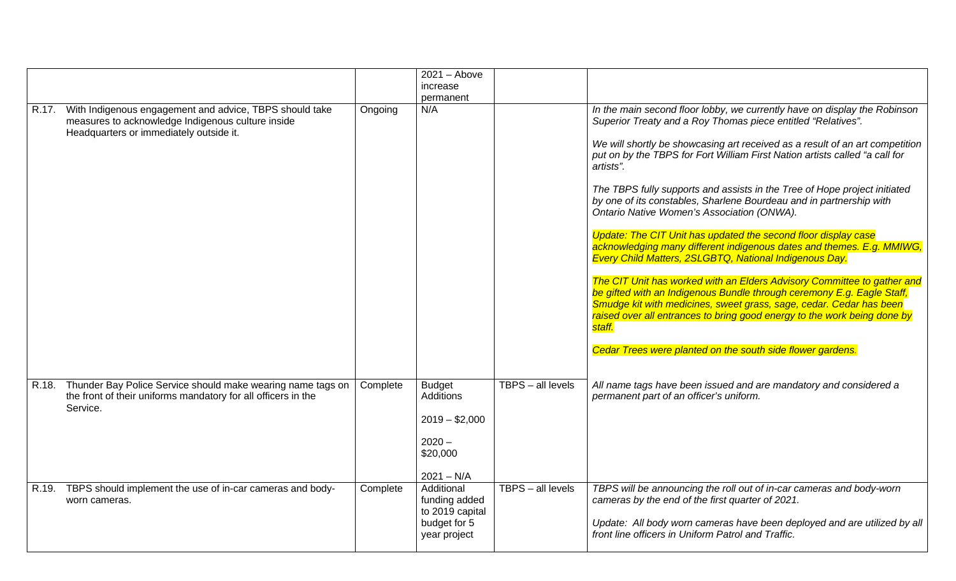|                                                                                                                                                               |          | $2021 -$ Above                                                 |                   |                                                                                                                                                                                                                                                                                                                |
|---------------------------------------------------------------------------------------------------------------------------------------------------------------|----------|----------------------------------------------------------------|-------------------|----------------------------------------------------------------------------------------------------------------------------------------------------------------------------------------------------------------------------------------------------------------------------------------------------------------|
|                                                                                                                                                               |          | increase                                                       |                   |                                                                                                                                                                                                                                                                                                                |
|                                                                                                                                                               |          | permanent                                                      |                   |                                                                                                                                                                                                                                                                                                                |
| R.17. With Indigenous engagement and advice, TBPS should take<br>measures to acknowledge Indigenous culture inside<br>Headquarters or immediately outside it. | Ongoing  | N/A                                                            |                   | In the main second floor lobby, we currently have on display the Robinson<br>Superior Treaty and a Roy Thomas piece entitled "Relatives".                                                                                                                                                                      |
|                                                                                                                                                               |          |                                                                |                   | We will shortly be showcasing art received as a result of an art competition<br>put on by the TBPS for Fort William First Nation artists called "a call for<br>artists".                                                                                                                                       |
|                                                                                                                                                               |          |                                                                |                   | The TBPS fully supports and assists in the Tree of Hope project initiated<br>by one of its constables, Sharlene Bourdeau and in partnership with<br>Ontario Native Women's Association (ONWA).                                                                                                                 |
|                                                                                                                                                               |          |                                                                |                   | Update: The CIT Unit has updated the second floor display case<br>acknowledging many different indigenous dates and themes. E.g. MMIWG,<br>Every Child Matters, 2SLGBTQ, National Indigenous Day.                                                                                                              |
|                                                                                                                                                               |          |                                                                |                   | The CIT Unit has worked with an Elders Advisory Committee to gather and<br>be gifted with an Indigenous Bundle through ceremony E.g. Eagle Staff,<br>Smudge kit with medicines, sweet grass, sage, cedar. Cedar has been<br>raised over all entrances to bring good energy to the work being done by<br>staff. |
|                                                                                                                                                               |          |                                                                |                   | Cedar Trees were planted on the south side flower gardens.                                                                                                                                                                                                                                                     |
| R.18. Thunder Bay Police Service should make wearing name tags on<br>the front of their uniforms mandatory for all officers in the<br>Service.                | Complete | <b>Budget</b><br><b>Additions</b><br>$2019 - $2,000$           | TBPS - all levels | All name tags have been issued and are mandatory and considered a<br>permanent part of an officer's uniform.                                                                                                                                                                                                   |
|                                                                                                                                                               |          | $2020 -$<br>\$20,000                                           |                   |                                                                                                                                                                                                                                                                                                                |
|                                                                                                                                                               |          | $2021 - N/A$                                                   |                   |                                                                                                                                                                                                                                                                                                                |
| R.19. TBPS should implement the use of in-car cameras and body-<br>worn cameras.                                                                              | Complete | Additional<br>funding added<br>to 2019 capital<br>budget for 5 | TBPS - all levels | TBPS will be announcing the roll out of in-car cameras and body-worn<br>cameras by the end of the first quarter of 2021.<br>Update: All body worn cameras have been deployed and are utilized by all                                                                                                           |
|                                                                                                                                                               |          | year project                                                   |                   | front line officers in Uniform Patrol and Traffic.                                                                                                                                                                                                                                                             |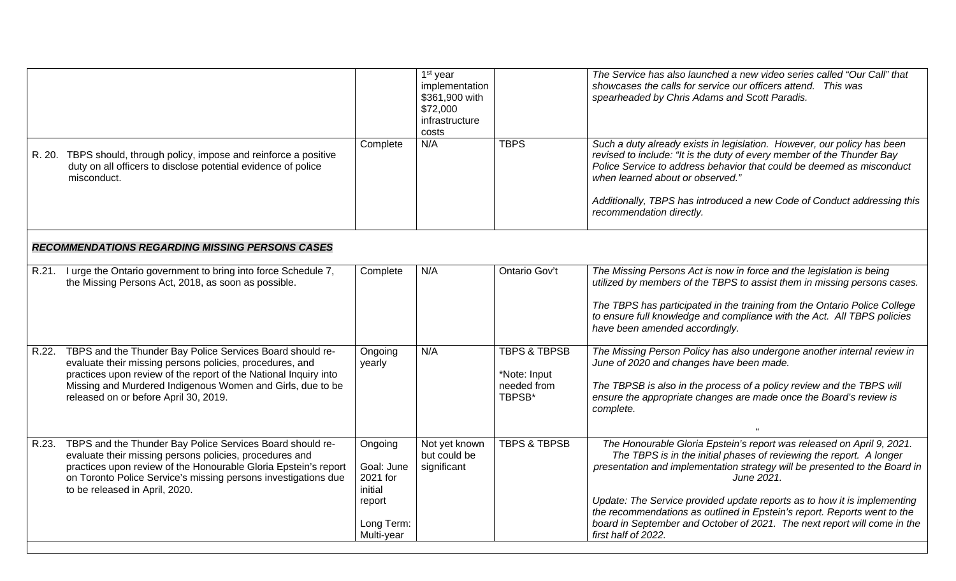|                                                        |                                                                                                                                                                                                                                                                                                        |                                                                                    | $\overline{1}$ <sup>st</sup> year<br>implementation<br>\$361,900 with<br>\$72,000<br>infrastructure<br>costs |                                                                  | The Service has also launched a new video series called "Our Call" that<br>showcases the calls for service our officers attend. This was<br>spearheaded by Chris Adams and Scott Paradis.                                                                                                                                                                                                                                                                                                           |  |  |  |
|--------------------------------------------------------|--------------------------------------------------------------------------------------------------------------------------------------------------------------------------------------------------------------------------------------------------------------------------------------------------------|------------------------------------------------------------------------------------|--------------------------------------------------------------------------------------------------------------|------------------------------------------------------------------|-----------------------------------------------------------------------------------------------------------------------------------------------------------------------------------------------------------------------------------------------------------------------------------------------------------------------------------------------------------------------------------------------------------------------------------------------------------------------------------------------------|--|--|--|
|                                                        | R. 20. TBPS should, through policy, impose and reinforce a positive<br>duty on all officers to disclose potential evidence of police<br>misconduct.                                                                                                                                                    | Complete                                                                           | N/A                                                                                                          | <b>TBPS</b>                                                      | Such a duty already exists in legislation. However, our policy has been<br>revised to include: "It is the duty of every member of the Thunder Bay<br>Police Service to address behavior that could be deemed as misconduct<br>when learned about or observed."<br>Additionally, TBPS has introduced a new Code of Conduct addressing this<br>recommendation directly.                                                                                                                               |  |  |  |
| <b>RECOMMENDATIONS REGARDING MISSING PERSONS CASES</b> |                                                                                                                                                                                                                                                                                                        |                                                                                    |                                                                                                              |                                                                  |                                                                                                                                                                                                                                                                                                                                                                                                                                                                                                     |  |  |  |
|                                                        | R.21. I urge the Ontario government to bring into force Schedule 7,<br>the Missing Persons Act, 2018, as soon as possible.                                                                                                                                                                             | Complete                                                                           | N/A                                                                                                          | Ontario Gov't                                                    | The Missing Persons Act is now in force and the legislation is being<br>utilized by members of the TBPS to assist them in missing persons cases.<br>The TBPS has participated in the training from the Ontario Police College<br>to ensure full knowledge and compliance with the Act. All TBPS policies<br>have been amended accordingly.                                                                                                                                                          |  |  |  |
|                                                        | R.22. TBPS and the Thunder Bay Police Services Board should re-<br>evaluate their missing persons policies, procedures, and<br>practices upon review of the report of the National Inquiry into<br>Missing and Murdered Indigenous Women and Girls, due to be<br>released on or before April 30, 2019. | Ongoing<br>yearly                                                                  | N/A                                                                                                          | <b>TBPS &amp; TBPSB</b><br>*Note: Input<br>needed from<br>TBPSB* | The Missing Person Policy has also undergone another internal review in<br>June of 2020 and changes have been made.<br>The TBPSB is also in the process of a policy review and the TBPS will<br>ensure the appropriate changes are made once the Board's review is<br>complete.                                                                                                                                                                                                                     |  |  |  |
| R.23.                                                  | TBPS and the Thunder Bay Police Services Board should re-<br>evaluate their missing persons policies, procedures and<br>practices upon review of the Honourable Gloria Epstein's report<br>on Toronto Police Service's missing persons investigations due<br>to be released in April, 2020.            | Ongoing<br>Goal: June<br>2021 for<br>initial<br>report<br>Long Term:<br>Multi-year | Not yet known<br>but could be<br>significant                                                                 | <b>TBPS &amp; TBPSB</b>                                          | The Honourable Gloria Epstein's report was released on April 9, 2021.<br>The TBPS is in the initial phases of reviewing the report. A longer<br>presentation and implementation strategy will be presented to the Board in<br>June 2021.<br>Update: The Service provided update reports as to how it is implementing<br>the recommendations as outlined in Epstein's report. Reports went to the<br>board in September and October of 2021. The next report will come in the<br>first half of 2022. |  |  |  |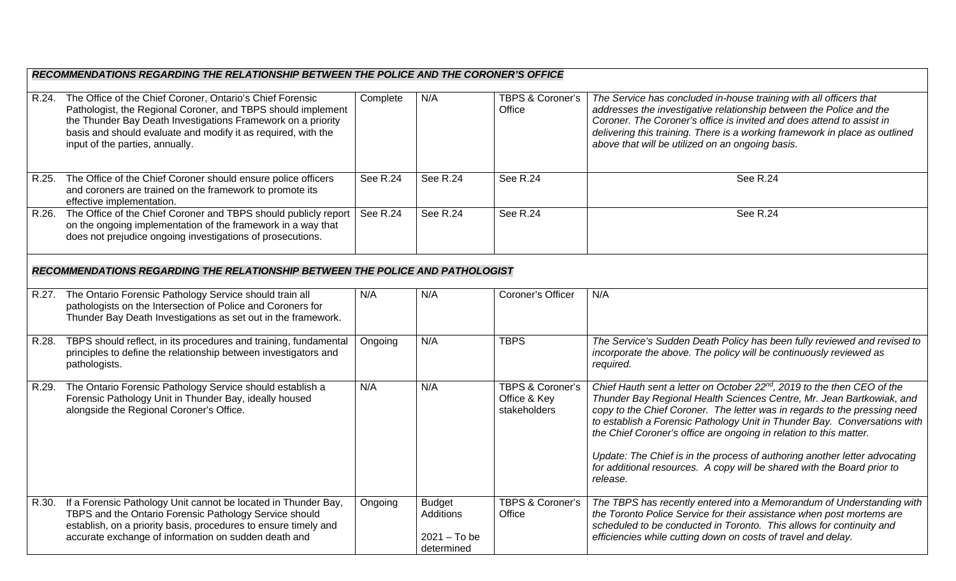| RECOMMENDATIONS REGARDING THE RELATIONSHIP BETWEEN THE POLICE AND THE CORONER'S OFFICE                                                                                                                                                                                                              |                 |                                                            |                                                             |                                                                                                                                                                                                                                                                                                                                                                                                                                                                                                                                                                   |  |  |  |  |
|-----------------------------------------------------------------------------------------------------------------------------------------------------------------------------------------------------------------------------------------------------------------------------------------------------|-----------------|------------------------------------------------------------|-------------------------------------------------------------|-------------------------------------------------------------------------------------------------------------------------------------------------------------------------------------------------------------------------------------------------------------------------------------------------------------------------------------------------------------------------------------------------------------------------------------------------------------------------------------------------------------------------------------------------------------------|--|--|--|--|
| R.24. The Office of the Chief Coroner, Ontario's Chief Forensic<br>Pathologist, the Regional Coroner, and TBPS should implement<br>the Thunder Bay Death Investigations Framework on a priority<br>basis and should evaluate and modify it as required, with the<br>input of the parties, annually. | Complete        | N/A                                                        | <b>TBPS &amp; Coroner's</b><br>Office                       | The Service has concluded in-house training with all officers that<br>addresses the investigative relationship between the Police and the<br>Coroner. The Coroner's office is invited and does attend to assist in<br>delivering this training. There is a working framework in place as outlined<br>above that will be utilized on an ongoing basis.                                                                                                                                                                                                             |  |  |  |  |
| R.25. The Office of the Chief Coroner should ensure police officers<br>and coroners are trained on the framework to promote its<br>effective implementation.                                                                                                                                        | <b>See R.24</b> | <b>See R.24</b>                                            | See R.24                                                    | <b>See R.24</b>                                                                                                                                                                                                                                                                                                                                                                                                                                                                                                                                                   |  |  |  |  |
| R.26. The Office of the Chief Coroner and TBPS should publicly report<br>on the ongoing implementation of the framework in a way that<br>does not prejudice ongoing investigations of prosecutions.                                                                                                 | See R.24        | <b>See R.24</b>                                            | See R.24                                                    | See R.24                                                                                                                                                                                                                                                                                                                                                                                                                                                                                                                                                          |  |  |  |  |
| RECOMMENDATIONS REGARDING THE RELATIONSHIP BETWEEN THE POLICE AND PATHOLOGIST                                                                                                                                                                                                                       |                 |                                                            |                                                             |                                                                                                                                                                                                                                                                                                                                                                                                                                                                                                                                                                   |  |  |  |  |
| R.27. The Ontario Forensic Pathology Service should train all<br>pathologists on the Intersection of Police and Coroners for<br>Thunder Bay Death Investigations as set out in the framework.                                                                                                       | N/A             | N/A                                                        | Coroner's Officer                                           | N/A                                                                                                                                                                                                                                                                                                                                                                                                                                                                                                                                                               |  |  |  |  |
| R.28. TBPS should reflect, in its procedures and training, fundamental<br>principles to define the relationship between investigators and<br>pathologists.                                                                                                                                          | Ongoing         | N/A                                                        | <b>TBPS</b>                                                 | The Service's Sudden Death Policy has been fully reviewed and revised to<br>incorporate the above. The policy will be continuously reviewed as<br>required.                                                                                                                                                                                                                                                                                                                                                                                                       |  |  |  |  |
| R.29. The Ontario Forensic Pathology Service should establish a<br>Forensic Pathology Unit in Thunder Bay, ideally housed<br>alongside the Regional Coroner's Office.                                                                                                                               | N/A             | N/A                                                        | <b>TBPS &amp; Coroner's</b><br>Office & Key<br>stakeholders | Chief Hauth sent a letter on October 22 <sup>nd</sup> , 2019 to the then CEO of the<br>Thunder Bay Regional Health Sciences Centre, Mr. Jean Bartkowiak, and<br>copy to the Chief Coroner. The letter was in regards to the pressing need<br>to establish a Forensic Pathology Unit in Thunder Bay. Conversations with<br>the Chief Coroner's office are ongoing in relation to this matter.<br>Update: The Chief is in the process of authoring another letter advocating<br>for additional resources. A copy will be shared with the Board prior to<br>release. |  |  |  |  |
| R.30. If a Forensic Pathology Unit cannot be located in Thunder Bay,<br>TBPS and the Ontario Forensic Pathology Service should<br>establish, on a priority basis, procedures to ensure timely and<br>accurate exchange of information on sudden death and                                           | Ongoing         | <b>Budget</b><br>Additions<br>$2021 - To be$<br>determined | <b>TBPS &amp; Coroner's</b><br>Office                       | The TBPS has recently entered into a Memorandum of Understanding with<br>the Toronto Police Service for their assistance when post mortems are<br>scheduled to be conducted in Toronto. This allows for continuity and<br>efficiencies while cutting down on costs of travel and delay.                                                                                                                                                                                                                                                                           |  |  |  |  |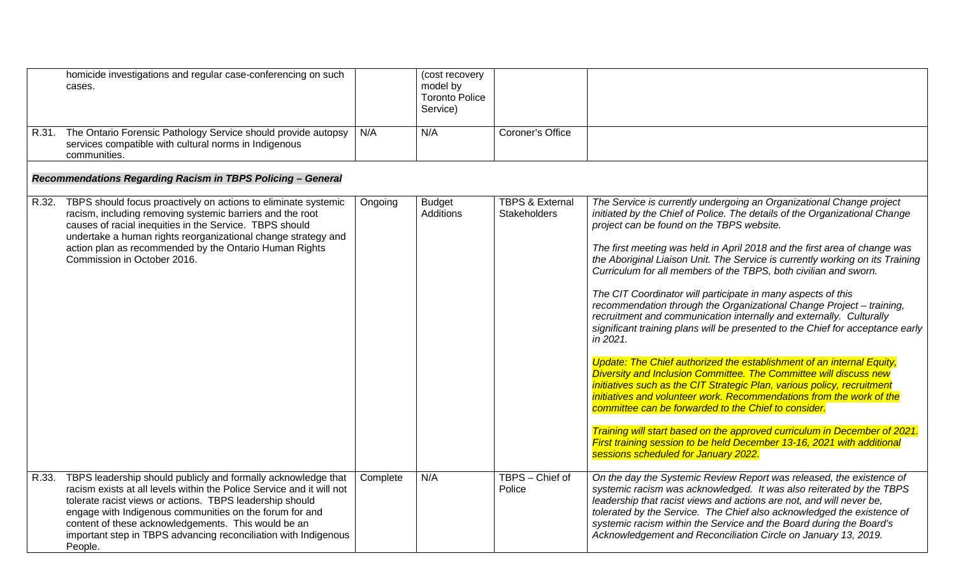|       | homicide investigations and regular case-conferencing on such<br>cases.                                                                                                                                                                                                                                                                                                                                  |          | (cost recovery<br>model by<br><b>Toronto Police</b><br>Service) |                                                   |                                                                                                                                                                                                                                                                                                                                                                                                                                                                                                                                                                                                                                                                                                                                                                                                                                                                                                                                                                                                                                                                                                                                                                                                                                                                                                        |
|-------|----------------------------------------------------------------------------------------------------------------------------------------------------------------------------------------------------------------------------------------------------------------------------------------------------------------------------------------------------------------------------------------------------------|----------|-----------------------------------------------------------------|---------------------------------------------------|--------------------------------------------------------------------------------------------------------------------------------------------------------------------------------------------------------------------------------------------------------------------------------------------------------------------------------------------------------------------------------------------------------------------------------------------------------------------------------------------------------------------------------------------------------------------------------------------------------------------------------------------------------------------------------------------------------------------------------------------------------------------------------------------------------------------------------------------------------------------------------------------------------------------------------------------------------------------------------------------------------------------------------------------------------------------------------------------------------------------------------------------------------------------------------------------------------------------------------------------------------------------------------------------------------|
|       | R.31. The Ontario Forensic Pathology Service should provide autopsy<br>services compatible with cultural norms in Indigenous<br>communities.                                                                                                                                                                                                                                                             | N/A      | N/A                                                             | Coroner's Office                                  |                                                                                                                                                                                                                                                                                                                                                                                                                                                                                                                                                                                                                                                                                                                                                                                                                                                                                                                                                                                                                                                                                                                                                                                                                                                                                                        |
|       | Recommendations Regarding Racism in TBPS Policing - General                                                                                                                                                                                                                                                                                                                                              |          |                                                                 |                                                   |                                                                                                                                                                                                                                                                                                                                                                                                                                                                                                                                                                                                                                                                                                                                                                                                                                                                                                                                                                                                                                                                                                                                                                                                                                                                                                        |
| R.32. | TBPS should focus proactively on actions to eliminate systemic<br>racism, including removing systemic barriers and the root<br>causes of racial inequities in the Service. TBPS should<br>undertake a human rights reorganizational change strategy and<br>action plan as recommended by the Ontario Human Rights<br>Commission in October 2016.                                                         | Ongoing  | <b>Budget</b><br><b>Additions</b>                               | <b>TBPS &amp; External</b><br><b>Stakeholders</b> | The Service is currently undergoing an Organizational Change project<br>initiated by the Chief of Police. The details of the Organizational Change<br>project can be found on the TBPS website.<br>The first meeting was held in April 2018 and the first area of change was<br>the Aboriginal Liaison Unit. The Service is currently working on its Training<br>Curriculum for all members of the TBPS, both civilian and sworn.<br>The CIT Coordinator will participate in many aspects of this<br>recommendation through the Organizational Change Project - training,<br>recruitment and communication internally and externally. Culturally<br>significant training plans will be presented to the Chief for acceptance early<br>in 2021.<br>Update: The Chief authorized the establishment of an internal Equity,<br>Diversity and Inclusion Committee. The Committee will discuss new<br>initiatives such as the CIT Strategic Plan, various policy, recruitment<br>initiatives and volunteer work. Recommendations from the work of the<br>committee can be forwarded to the Chief to consider.<br>Training will start based on the approved curriculum in December of 2021.<br>First training session to be held December 13-16, 2021 with additional<br>sessions scheduled for January 2022. |
|       | R.33. TBPS leadership should publicly and formally acknowledge that<br>racism exists at all levels within the Police Service and it will not<br>tolerate racist views or actions. TBPS leadership should<br>engage with Indigenous communities on the forum for and<br>content of these acknowledgements. This would be an<br>important step in TBPS advancing reconciliation with Indigenous<br>People. | Complete | N/A                                                             | TBPS - Chief of<br>Police                         | On the day the Systemic Review Report was released, the existence of<br>systemic racism was acknowledged. It was also reiterated by the TBPS<br>leadership that racist views and actions are not, and will never be,<br>tolerated by the Service. The Chief also acknowledged the existence of<br>systemic racism within the Service and the Board during the Board's<br>Acknowledgement and Reconciliation Circle on January 13, 2019.                                                                                                                                                                                                                                                                                                                                                                                                                                                                                                                                                                                                                                                                                                                                                                                                                                                                |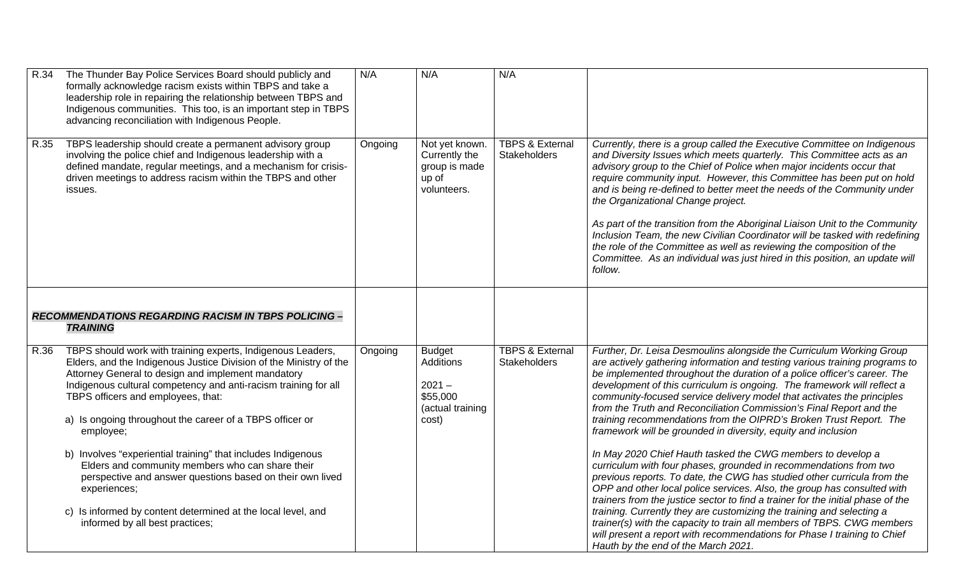| $\overline{R}$ .34 | The Thunder Bay Police Services Board should publicly and<br>formally acknowledge racism exists within TBPS and take a<br>leadership role in repairing the relationship between TBPS and<br>Indigenous communities. This too, is an important step in TBPS<br>advancing reconciliation with Indigenous People.                                                                                                                                                                                                                                                                                                                                                                | N/A     | N/A                                                                                    | N/A                                               |                                                                                                                                                                                                                                                                                                                                                                                                                                                                                                                                                                                                                                                                                                                                                                                                                                                                                                                                                                                                                                                                                                                                                                                                                                                       |
|--------------------|-------------------------------------------------------------------------------------------------------------------------------------------------------------------------------------------------------------------------------------------------------------------------------------------------------------------------------------------------------------------------------------------------------------------------------------------------------------------------------------------------------------------------------------------------------------------------------------------------------------------------------------------------------------------------------|---------|----------------------------------------------------------------------------------------|---------------------------------------------------|-------------------------------------------------------------------------------------------------------------------------------------------------------------------------------------------------------------------------------------------------------------------------------------------------------------------------------------------------------------------------------------------------------------------------------------------------------------------------------------------------------------------------------------------------------------------------------------------------------------------------------------------------------------------------------------------------------------------------------------------------------------------------------------------------------------------------------------------------------------------------------------------------------------------------------------------------------------------------------------------------------------------------------------------------------------------------------------------------------------------------------------------------------------------------------------------------------------------------------------------------------|
| R.35               | TBPS leadership should create a permanent advisory group<br>involving the police chief and Indigenous leadership with a<br>defined mandate, regular meetings, and a mechanism for crisis-<br>driven meetings to address racism within the TBPS and other<br>issues.                                                                                                                                                                                                                                                                                                                                                                                                           | Ongoing | Not yet known.<br>Currently the<br>group is made<br>up of<br>volunteers.               | <b>TBPS &amp; External</b><br><b>Stakeholders</b> | Currently, there is a group called the Executive Committee on Indigenous<br>and Diversity Issues which meets quarterly. This Committee acts as an<br>advisory group to the Chief of Police when major incidents occur that<br>require community input. However, this Committee has been put on hold<br>and is being re-defined to better meet the needs of the Community under<br>the Organizational Change project.<br>As part of the transition from the Aboriginal Liaison Unit to the Community<br>Inclusion Team, the new Civilian Coordinator will be tasked with redefining<br>the role of the Committee as well as reviewing the composition of the<br>Committee. As an individual was just hired in this position, an update will<br>follow.                                                                                                                                                                                                                                                                                                                                                                                                                                                                                                 |
|                    | <b>RECOMMENDATIONS REGARDING RACISM IN TBPS POLICING -</b><br><b>TRAINING</b>                                                                                                                                                                                                                                                                                                                                                                                                                                                                                                                                                                                                 |         |                                                                                        |                                                   |                                                                                                                                                                                                                                                                                                                                                                                                                                                                                                                                                                                                                                                                                                                                                                                                                                                                                                                                                                                                                                                                                                                                                                                                                                                       |
| R.36               | TBPS should work with training experts, Indigenous Leaders,<br>Elders, and the Indigenous Justice Division of the Ministry of the<br>Attorney General to design and implement mandatory<br>Indigenous cultural competency and anti-racism training for all<br>TBPS officers and employees, that:<br>a) Is ongoing throughout the career of a TBPS officer or<br>employee;<br>b) Involves "experiential training" that includes Indigenous<br>Elders and community members who can share their<br>perspective and answer questions based on their own lived<br>experiences;<br>c) Is informed by content determined at the local level, and<br>informed by all best practices; | Ongoing | <b>Budget</b><br><b>Additions</b><br>$2021 -$<br>\$55,000<br>(actual training<br>cost) | <b>TBPS &amp; External</b><br><b>Stakeholders</b> | Further, Dr. Leisa Desmoulins alongside the Curriculum Working Group<br>are actively gathering information and testing various training programs to<br>be implemented throughout the duration of a police officer's career. The<br>development of this curriculum is ongoing. The framework will reflect a<br>community-focused service delivery model that activates the principles<br>from the Truth and Reconciliation Commission's Final Report and the<br>training recommendations from the OIPRD's Broken Trust Report. The<br>framework will be grounded in diversity, equity and inclusion<br>In May 2020 Chief Hauth tasked the CWG members to develop a<br>curriculum with four phases, grounded in recommendations from two<br>previous reports. To date, the CWG has studied other curricula from the<br>OPP and other local police services. Also, the group has consulted with<br>trainers from the justice sector to find a trainer for the initial phase of the<br>training. Currently they are customizing the training and selecting a<br>trainer(s) with the capacity to train all members of TBPS. CWG members<br>will present a report with recommendations for Phase I training to Chief<br>Hauth by the end of the March 2021. |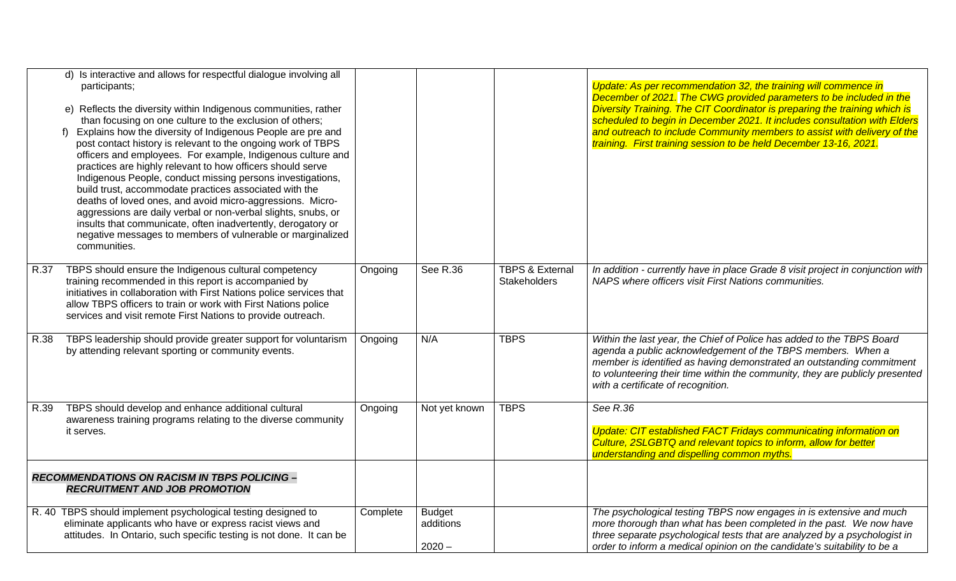|      | d) Is interactive and allows for respectful dialogue involving all<br>participants;<br>e) Reflects the diversity within Indigenous communities, rather<br>than focusing on one culture to the exclusion of others;<br>Explains how the diversity of Indigenous People are pre and<br>f)<br>post contact history is relevant to the ongoing work of TBPS<br>officers and employees. For example, Indigenous culture and<br>practices are highly relevant to how officers should serve<br>Indigenous People, conduct missing persons investigations,<br>build trust, accommodate practices associated with the<br>deaths of loved ones, and avoid micro-aggressions. Micro-<br>aggressions are daily verbal or non-verbal slights, snubs, or<br>insults that communicate, often inadvertently, derogatory or<br>negative messages to members of vulnerable or marginalized<br>communities. |          |                                        |                                                   | Update: As per recommendation 32, the training will commence in<br>December of 2021. The CWG provided parameters to be included in the<br>Diversity Training. The CIT Coordinator is preparing the training which is<br>scheduled to begin in December 2021. It includes consultation with Elders<br>and outreach to include Community members to assist with delivery of the<br>training. First training session to be held December 13-16, 2021. |
|------|------------------------------------------------------------------------------------------------------------------------------------------------------------------------------------------------------------------------------------------------------------------------------------------------------------------------------------------------------------------------------------------------------------------------------------------------------------------------------------------------------------------------------------------------------------------------------------------------------------------------------------------------------------------------------------------------------------------------------------------------------------------------------------------------------------------------------------------------------------------------------------------|----------|----------------------------------------|---------------------------------------------------|----------------------------------------------------------------------------------------------------------------------------------------------------------------------------------------------------------------------------------------------------------------------------------------------------------------------------------------------------------------------------------------------------------------------------------------------------|
| R.37 | TBPS should ensure the Indigenous cultural competency<br>training recommended in this report is accompanied by<br>initiatives in collaboration with First Nations police services that<br>allow TBPS officers to train or work with First Nations police<br>services and visit remote First Nations to provide outreach.                                                                                                                                                                                                                                                                                                                                                                                                                                                                                                                                                                 | Ongoing  | See R.36                               | <b>TBPS &amp; External</b><br><b>Stakeholders</b> | In addition - currently have in place Grade 8 visit project in conjunction with<br>NAPS where officers visit First Nations communities.                                                                                                                                                                                                                                                                                                            |
| R.38 | TBPS leadership should provide greater support for voluntarism<br>by attending relevant sporting or community events.                                                                                                                                                                                                                                                                                                                                                                                                                                                                                                                                                                                                                                                                                                                                                                    | Ongoing  | N/A                                    | <b>TBPS</b>                                       | Within the last year, the Chief of Police has added to the TBPS Board<br>agenda a public acknowledgement of the TBPS members. When a<br>member is identified as having demonstrated an outstanding commitment<br>to volunteering their time within the community, they are publicly presented<br>with a certificate of recognition.                                                                                                                |
| R.39 | TBPS should develop and enhance additional cultural<br>awareness training programs relating to the diverse community<br>it serves.                                                                                                                                                                                                                                                                                                                                                                                                                                                                                                                                                                                                                                                                                                                                                       | Ongoing  | Not yet known                          | <b>TBPS</b>                                       | See R.36<br><b>Update: CIT established FACT Fridays communicating information on</b><br>Culture, 2SLGBTQ and relevant topics to inform, allow for better<br>understanding and dispelling common myths.                                                                                                                                                                                                                                             |
|      | <b>RECOMMENDATIONS ON RACISM IN TBPS POLICING -</b><br><b>RECRUITMENT AND JOB PROMOTION</b>                                                                                                                                                                                                                                                                                                                                                                                                                                                                                                                                                                                                                                                                                                                                                                                              |          |                                        |                                                   |                                                                                                                                                                                                                                                                                                                                                                                                                                                    |
|      | R. 40 TBPS should implement psychological testing designed to<br>eliminate applicants who have or express racist views and<br>attitudes. In Ontario, such specific testing is not done. It can be                                                                                                                                                                                                                                                                                                                                                                                                                                                                                                                                                                                                                                                                                        | Complete | <b>Budget</b><br>additions<br>$2020 -$ |                                                   | The psychological testing TBPS now engages in is extensive and much<br>more thorough than what has been completed in the past. We now have<br>three separate psychological tests that are analyzed by a psychologist in<br>order to inform a medical opinion on the candidate's suitability to be a                                                                                                                                                |